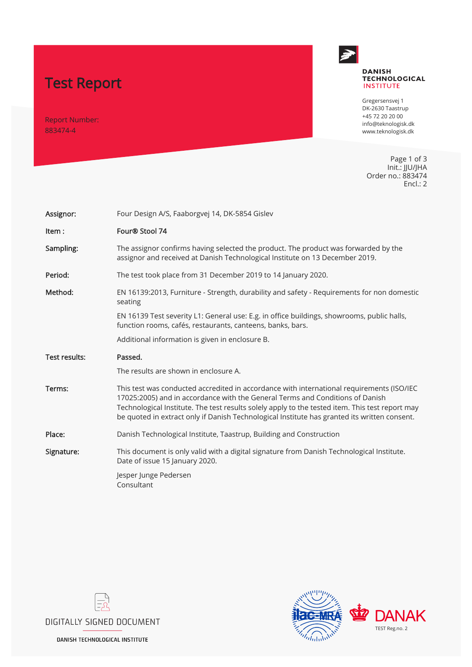# Test Report

Report Number: 883474-4



#### **DANISH TECHNOLOGICAL INSTITUTE**

Gregersensvej 1 DK-2630 Taastrup +45 72 20 20 00 info@teknologisk.dk www.teknologisk.dk

Page 1 of 3 Init.: JJU/JHA Order no.: 883474 Encl.: 2

| Assignor:                                       | Four Design A/S, Faaborgvej 14, DK-5854 Gislev                                                                                                                                                                                                                                                                                                                                |  |  |  |  |
|-------------------------------------------------|-------------------------------------------------------------------------------------------------------------------------------------------------------------------------------------------------------------------------------------------------------------------------------------------------------------------------------------------------------------------------------|--|--|--|--|
| Item:                                           | Four® Stool 74                                                                                                                                                                                                                                                                                                                                                                |  |  |  |  |
| Sampling:                                       | The assignor confirms having selected the product. The product was forwarded by the<br>assignor and received at Danish Technological Institute on 13 December 2019.                                                                                                                                                                                                           |  |  |  |  |
| Period:                                         | The test took place from 31 December 2019 to 14 January 2020.                                                                                                                                                                                                                                                                                                                 |  |  |  |  |
| Method:                                         | EN 16139:2013, Furniture - Strength, durability and safety - Requirements for non domestic<br>seating                                                                                                                                                                                                                                                                         |  |  |  |  |
|                                                 | EN 16139 Test severity L1: General use: E.g. in office buildings, showrooms, public halls,<br>function rooms, cafés, restaurants, canteens, banks, bars.                                                                                                                                                                                                                      |  |  |  |  |
| Additional information is given in enclosure B. |                                                                                                                                                                                                                                                                                                                                                                               |  |  |  |  |
|                                                 |                                                                                                                                                                                                                                                                                                                                                                               |  |  |  |  |
| Test results:                                   | Passed.                                                                                                                                                                                                                                                                                                                                                                       |  |  |  |  |
|                                                 | The results are shown in enclosure A.                                                                                                                                                                                                                                                                                                                                         |  |  |  |  |
| Terms:                                          | This test was conducted accredited in accordance with international requirements (ISO/IEC<br>17025:2005) and in accordance with the General Terms and Conditions of Danish<br>Technological Institute. The test results solely apply to the tested item. This test report may<br>be quoted in extract only if Danish Technological Institute has granted its written consent. |  |  |  |  |
| Place:                                          | Danish Technological Institute, Taastrup, Building and Construction                                                                                                                                                                                                                                                                                                           |  |  |  |  |
| Signature:                                      | This document is only valid with a digital signature from Danish Technological Institute.<br>Date of issue 15 January 2020.                                                                                                                                                                                                                                                   |  |  |  |  |





**DANISH TECHNOLOGICAL INSTITUTE**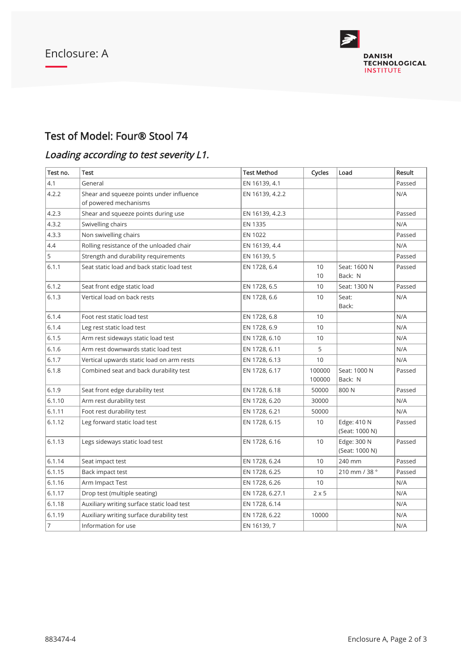

### Test of Model: Four® Stool 74

## Loading according to test severity L1.

| Test no.       | Test                                                              | <b>Test Method</b> | Cycles                | Load                          | Result |
|----------------|-------------------------------------------------------------------|--------------------|-----------------------|-------------------------------|--------|
| 4.1            | General                                                           | EN 16139, 4.1      |                       |                               | Passed |
| 4.2.2          | Shear and squeeze points under influence<br>of powered mechanisms | EN 16139, 4.2.2    |                       |                               | N/A    |
| 4.2.3          | Shear and squeeze points during use                               | EN 16139, 4.2.3    |                       |                               | Passed |
| 4.3.2          | Swivelling chairs                                                 | EN 1335            |                       |                               | N/A    |
| 4.3.3          | Non swivelling chairs                                             | EN 1022            |                       |                               | Passed |
| 4.4            | Rolling resistance of the unloaded chair                          | EN 16139, 4.4      |                       |                               | N/A    |
| 5              | Strength and durability requirements                              | EN 16139, 5        |                       |                               | Passed |
| 6.1.1          | Seat static load and back static load test                        | EN 1728, 6.4       | 10<br>10 <sup>1</sup> | Seat: 1600 N<br>Back: N       | Passed |
| 6.1.2          | Seat front edge static load                                       | EN 1728, 6.5       | 10                    | Seat: 1300 N                  | Passed |
| 6.1.3          | Vertical load on back rests                                       | EN 1728, 6.6       | 10 <sup>1</sup>       | Seat:<br>Back:                | N/A    |
| 6.1.4          | Foot rest static load test                                        | EN 1728, 6.8       | 10 <sup>°</sup>       |                               | N/A    |
| 6.1.4          | Leg rest static load test                                         | EN 1728, 6.9       | 10                    |                               | N/A    |
| 6.1.5          | Arm rest sideways static load test                                | EN 1728, 6.10      | 10 <sup>1</sup>       |                               | N/A    |
| 6.1.6          | Arm rest downwards static load test                               | EN 1728, 6.11      | 5                     |                               | N/A    |
| 6.1.7          | Vertical upwards static load on arm rests                         | EN 1728, 6.13      | 10                    |                               | N/A    |
| 6.1.8          | Combined seat and back durability test                            | EN 1728, 6.17      | 100000<br>100000      | Seat: 1000 N<br>Back: N       | Passed |
| 6.1.9          | Seat front edge durability test                                   | EN 1728, 6.18      | 50000                 | 800N                          | Passed |
| 6.1.10         | Arm rest durability test                                          | EN 1728, 6.20      | 30000                 |                               | N/A    |
| 6.1.11         | Foot rest durability test                                         | EN 1728, 6.21      | 50000                 |                               | N/A    |
| 6.1.12         | Leg forward static load test                                      | EN 1728, 6.15      | 10                    | Edge: 410 N<br>(Seat: 1000 N) | Passed |
| 6.1.13         | Legs sideways static load test                                    | EN 1728, 6.16      | 10                    | Edge: 300 N<br>(Seat: 1000 N) | Passed |
| 6.1.14         | Seat impact test                                                  | EN 1728, 6.24      | 10                    | 240 mm                        | Passed |
| 6.1.15         | Back impact test                                                  | EN 1728, 6.25      | 10                    | 210 mm / 38 °                 | Passed |
| 6.1.16         | Arm Impact Test                                                   | EN 1728, 6.26      | 10                    |                               | N/A    |
| 6.1.17         | Drop test (multiple seating)                                      | EN 1728, 6.27.1    | $2 \times 5$          |                               | N/A    |
| 6.1.18         | Auxiliary writing surface static load test                        | EN 1728, 6.14      |                       |                               | N/A    |
| 6.1.19         | Auxiliary writing surface durability test                         | EN 1728, 6.22      | 10000                 |                               | N/A    |
| $\overline{7}$ | Information for use                                               | EN 16139, 7        |                       |                               | N/A    |